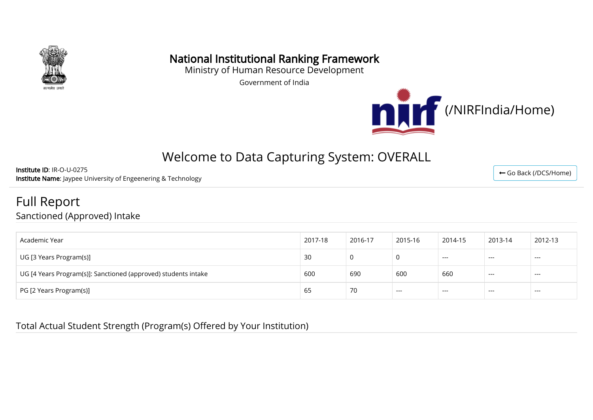

## National Institutional Ranking Framework

Ministry of Human Resource Development

Government of India



# Welcome to Data Capturing System: OVERALL

Institute ID: IR-O-U-0275 Institute Name: Jaypee University of Engeenering & Technology

Full Report

Sanctioned (Approved) Intake

| Academic Year                                                  | 2017-18 | 2016-17 | 2015-16 | 2014-15 | 2013-14 | 2012-13 |
|----------------------------------------------------------------|---------|---------|---------|---------|---------|---------|
| UG [3 Years Program(s)]                                        | 30      | 0       |         | $---$   | $---$   | $---$   |
| UG [4 Years Program(s)]: Sanctioned (approved) students intake | 600     | 690     | 600     | 660     | $---$   | $---$   |
| PG [2 Years Program(s)]                                        | 65      | 70      | ---     | $---$   | ---     | $---$   |

#### Total Actual Student Strength (Program(s) Offered by Your Institution)

← [Go Back \(/DCS/Home\)](http://login.nirfindia.org/DCS/Home)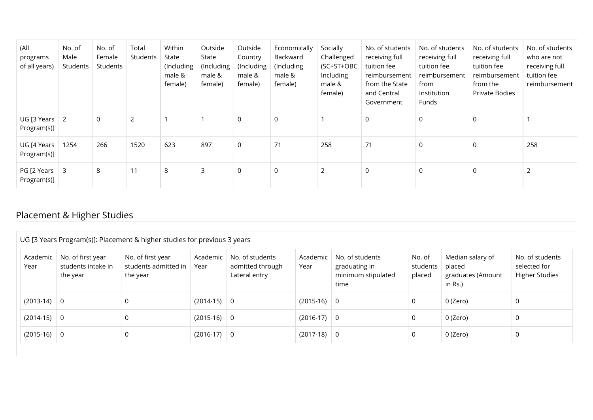| (All<br>programs<br>of all years)      | No. of<br>Male<br>Students | No. of<br>Female<br>Students | Total<br>Students | Within<br>State<br>(Including<br>male &<br>female) | Outside<br>State<br>(Including<br>male &<br>female) | Outside<br>Country<br>(Including<br>male &<br>female) | Economically<br>Backward<br>(Including<br>male &<br>female) | Socially<br>Challenged<br>(SC+ST+OBC<br>Including<br>male &<br>female) | No. of students<br>receiving full<br>tuition fee<br>reimbursement<br>from the State<br>and Central<br>Government | No. of students<br>receiving full<br>tuition fee<br>reimbursement<br>from<br>Institution<br>Funds | No. of students<br>receiving full<br>tuition fee<br>reimbursement<br>from the<br>Private Bodies | No. of students<br>who are not<br>receiving full<br>tuition fee<br>reimbursement |
|----------------------------------------|----------------------------|------------------------------|-------------------|----------------------------------------------------|-----------------------------------------------------|-------------------------------------------------------|-------------------------------------------------------------|------------------------------------------------------------------------|------------------------------------------------------------------------------------------------------------------|---------------------------------------------------------------------------------------------------|-------------------------------------------------------------------------------------------------|----------------------------------------------------------------------------------|
| $UG$ [3 Years $\vert$ 2<br>Program(s)] |                            | $\mathbf 0$                  | 2                 |                                                    |                                                     | $\mathbf 0$                                           | $\mathbf 0$                                                 |                                                                        | $\mathbf 0$                                                                                                      | $\mathbf 0$                                                                                       | 0                                                                                               |                                                                                  |
| UG [4 Years<br>Program(s)]             | 1254                       | 266                          | 1520              | 623                                                | 897                                                 | 0                                                     | 71                                                          | 258                                                                    | 71                                                                                                               | $\mathbf 0$                                                                                       | $\Omega$                                                                                        | 258                                                                              |
| PG [2 Years<br>Program(s)]             | 3                          | 8                            | 11                | 8                                                  | 3                                                   | 0                                                     | 0                                                           | $\overline{2}$                                                         | $\mathbf 0$                                                                                                      | $\mathbf 0$                                                                                       | $\Omega$                                                                                        | $\overline{2}$                                                                   |

## Placement & Higher Studies

| Academic<br>Year | No. of first year<br>students intake in<br>the year | No. of first year<br>students admitted in<br>the year | Academic<br>Year | No. of students<br>admitted through<br>Lateral entry | Academic<br>Year | No. of students<br>graduating in<br>minimum stipulated<br>time | No. of<br>students<br>placed | Median salary of<br>placed<br>graduates (Amount<br>in Rs.) | No. of students<br>selected for<br><b>Higher Studies</b> |
|------------------|-----------------------------------------------------|-------------------------------------------------------|------------------|------------------------------------------------------|------------------|----------------------------------------------------------------|------------------------------|------------------------------------------------------------|----------------------------------------------------------|
| $(2013-14)$ 0    |                                                     | 0                                                     | $(2014-15)$ 0    |                                                      | $(2015-16)$ 0    |                                                                | 0                            | 0 (Zero)                                                   | 0                                                        |
| $(2014-15)$ 0    |                                                     | 0                                                     | $(2015-16)$ 0    |                                                      | $(2016-17)$ 0    |                                                                | 0                            | 0 (Zero)                                                   | 0                                                        |
| $(2015-16)$ 0    |                                                     | 0                                                     | $(2016-17)$ 0    |                                                      | $(2017-18)$ 0    |                                                                | 0                            | 0 (Zero)                                                   | 0                                                        |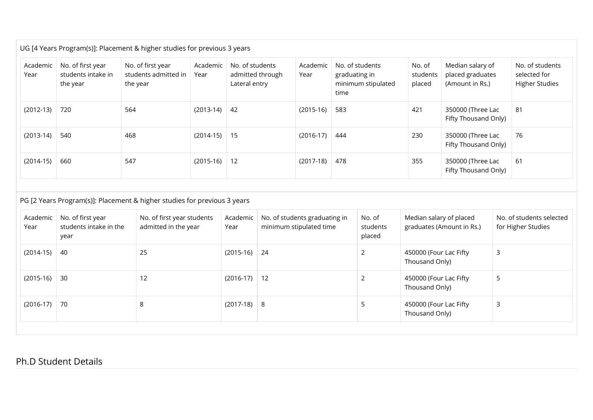|                  |                                                     | UG [4 Years Program(s)]: Placement & higher studies for previous 3 years |                  |                                                      |                  |                                                                |                              |                                                         |                                                          |
|------------------|-----------------------------------------------------|--------------------------------------------------------------------------|------------------|------------------------------------------------------|------------------|----------------------------------------------------------------|------------------------------|---------------------------------------------------------|----------------------------------------------------------|
| Academic<br>Year | No. of first year<br>students intake in<br>the year | No. of first year<br>students admitted in<br>the year                    | Academic<br>Year | No. of students<br>admitted through<br>Lateral entry | Academic<br>Year | No. of students<br>graduating in<br>minimum stipulated<br>time | No. of<br>students<br>placed | Median salary of<br>placed graduates<br>(Amount in Rs.) | No. of students<br>selected for<br><b>Higher Studies</b> |
| $(2012-13)$      | 720                                                 | 564                                                                      | $(2013-14)$ 42   |                                                      | $(2015-16)$      | 583                                                            | 421                          | 350000 (Three Lac<br>Fifty Thousand Only)               | 81                                                       |
| $(2013-14)$      | 540                                                 | 468                                                                      | $(2014-15)$ 15   |                                                      | $(2016-17)$      | 444                                                            | 230                          | 350000 (Three Lac<br>Fifty Thousand Only)               | 76                                                       |
| $(2014-15)$      | 660                                                 | 547                                                                      | $(2015-16)$ 12   |                                                      | $(2017-18)$      | 478                                                            | 355                          | 350000 (Three Lac<br>Fifty Thousand Only)               | 61                                                       |

#### PG [2 Years Program(s)]: Placement & higher studies for previous 3 years

| 25<br>$(2015-16)$ 24<br>(2014-15)<br>-40<br>450000 (Four Lac Fifty<br>3<br>Thousand Only)<br>$(2016-17)$ 12<br>$(2015-16)$ 30<br>12<br>450000 (Four Lac Fifty<br>5<br>Thousand Only)<br>$(2016-17)$<br>$(2017-18)$ 8<br>70<br>450000 (Four Lac Fifty<br>8<br>Ξ<br>Thousand Only) | Academic<br>Year | No. of first year<br>students intake in the<br>year | No. of first year students<br>admitted in the year | Academic<br>Year | No. of students graduating in<br>minimum stipulated time | No. of<br>students<br>placed | Median salary of placed<br>graduates (Amount in Rs.) | No. of students selected<br>for Higher Studies |
|----------------------------------------------------------------------------------------------------------------------------------------------------------------------------------------------------------------------------------------------------------------------------------|------------------|-----------------------------------------------------|----------------------------------------------------|------------------|----------------------------------------------------------|------------------------------|------------------------------------------------------|------------------------------------------------|
|                                                                                                                                                                                                                                                                                  |                  |                                                     |                                                    |                  |                                                          |                              |                                                      |                                                |
|                                                                                                                                                                                                                                                                                  |                  |                                                     |                                                    |                  |                                                          |                              |                                                      |                                                |
|                                                                                                                                                                                                                                                                                  |                  |                                                     |                                                    |                  |                                                          |                              |                                                      |                                                |

#### Ph.D Student Details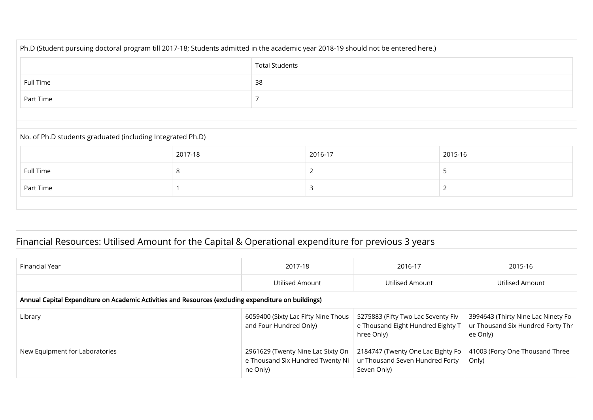| Ph.D (Student pursuing doctoral program till 2017-18; Students admitted in the academic year 2018-19 should not be entered here.) |                          |  |         |         |  |  |  |
|-----------------------------------------------------------------------------------------------------------------------------------|--------------------------|--|---------|---------|--|--|--|
| <b>Total Students</b>                                                                                                             |                          |  |         |         |  |  |  |
| 38<br>Full Time                                                                                                                   |                          |  |         |         |  |  |  |
| Part Time                                                                                                                         |                          |  |         |         |  |  |  |
|                                                                                                                                   |                          |  |         |         |  |  |  |
| No. of Ph.D students graduated (including Integrated Ph.D)                                                                        |                          |  |         |         |  |  |  |
|                                                                                                                                   | 2017-18                  |  | 2016-17 | 2015-16 |  |  |  |
| Full Time                                                                                                                         | 8<br>$\overline{2}$<br>5 |  |         |         |  |  |  |
| 3<br>Part Time<br>$\overline{2}$                                                                                                  |                          |  |         |         |  |  |  |
|                                                                                                                                   |                          |  |         |         |  |  |  |

## Financial Resources: Utilised Amount for the Capital & Operational expenditure for previous 3 years

| Financial Year                                                                                       | 2017-18                                                                           | 2016-17                                                                               | 2015-16                                                                             |
|------------------------------------------------------------------------------------------------------|-----------------------------------------------------------------------------------|---------------------------------------------------------------------------------------|-------------------------------------------------------------------------------------|
|                                                                                                      | Utilised Amount                                                                   | Utilised Amount                                                                       | Utilised Amount                                                                     |
| Annual Capital Expenditure on Academic Activities and Resources (excluding expenditure on buildings) |                                                                                   |                                                                                       |                                                                                     |
| Library                                                                                              | 6059400 (Sixty Lac Fifty Nine Thous<br>and Four Hundred Only)                     | 5275883 (Fifty Two Lac Seventy Fiv<br>e Thousand Eight Hundred Eighty T<br>hree Only) | 3994643 (Thirty Nine Lac Ninety Fo<br>ur Thousand Six Hundred Forty Thr<br>ee Only) |
| New Equipment for Laboratories                                                                       | 2961629 (Twenty Nine Lac Sixty On<br>e Thousand Six Hundred Twenty Ni<br>ne Only) | 2184747 (Twenty One Lac Eighty Fo<br>ur Thousand Seven Hundred Forty<br>Seven Only)   | 41003 (Forty One Thousand Three<br>Only)                                            |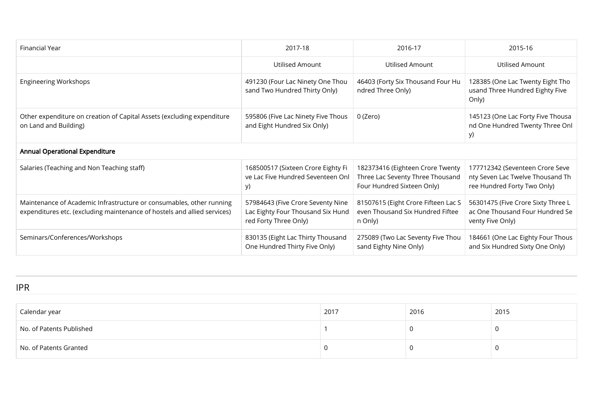| Financial Year                                                                                                                                   | 2017-18                                                                                         | 2016-17                                                                                            | 2015-16                                                                                            |
|--------------------------------------------------------------------------------------------------------------------------------------------------|-------------------------------------------------------------------------------------------------|----------------------------------------------------------------------------------------------------|----------------------------------------------------------------------------------------------------|
|                                                                                                                                                  | <b>Utilised Amount</b>                                                                          | Utilised Amount                                                                                    | Utilised Amount                                                                                    |
| <b>Engineering Workshops</b>                                                                                                                     | 491230 (Four Lac Ninety One Thou<br>sand Two Hundred Thirty Only)                               | 46403 (Forty Six Thousand Four Hu<br>ndred Three Only)                                             | 128385 (One Lac Twenty Eight Tho<br>usand Three Hundred Eighty Five<br>Only)                       |
| Other expenditure on creation of Capital Assets (excluding expenditure<br>on Land and Building)                                                  | 595806 (Five Lac Ninety Five Thous<br>and Eight Hundred Six Only)                               | 0 (Zero)                                                                                           | 145123 (One Lac Forty Five Thousa<br>nd One Hundred Twenty Three Onl<br>y)                         |
| <b>Annual Operational Expenditure</b>                                                                                                            |                                                                                                 |                                                                                                    |                                                                                                    |
| Salaries (Teaching and Non Teaching staff)                                                                                                       | 168500517 (Sixteen Crore Eighty Fi<br>ve Lac Five Hundred Seventeen Onl<br>y)                   | 182373416 (Eighteen Crore Twenty<br>Three Lac Seventy Three Thousand<br>Four Hundred Sixteen Only) | 177712342 (Seventeen Crore Seve<br>nty Seven Lac Twelve Thousand Th<br>ree Hundred Forty Two Only) |
| Maintenance of Academic Infrastructure or consumables, other running<br>expenditures etc. (excluding maintenance of hostels and allied services) | 57984643 (Five Crore Seventy Nine<br>Lac Eighty Four Thousand Six Hund<br>red Forty Three Only) | 81507615 (Eight Crore Fifteen Lac S<br>even Thousand Six Hundred Fiftee<br>n Only)                 | 56301475 (Five Crore Sixty Three L<br>ac One Thousand Four Hundred Se<br>venty Five Only)          |
| Seminars/Conferences/Workshops                                                                                                                   | 830135 (Eight Lac Thirty Thousand<br>One Hundred Thirty Five Only)                              | 275089 (Two Lac Seventy Five Thou<br>sand Eighty Nine Only)                                        | 184661 (One Lac Eighty Four Thous<br>and Six Hundred Sixty One Only)                               |

IPR

| Calendar year            | 2017 | 2016 | 2015 |
|--------------------------|------|------|------|
| No. of Patents Published |      |      | л.   |
| No. of Patents Granted   |      |      |      |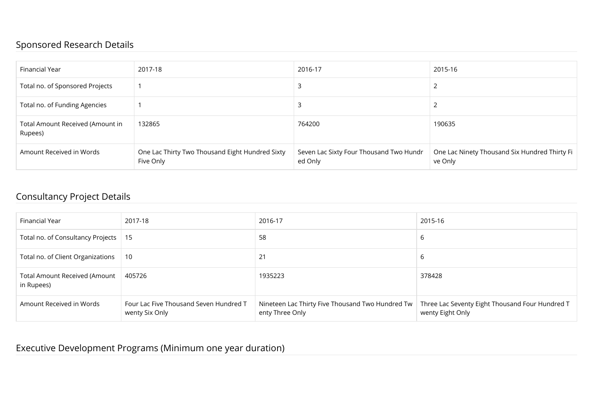### Sponsored Research Details

| Financial Year                              | 2017-18                                                      | 2016-17                                            | 2015-16                                                  |
|---------------------------------------------|--------------------------------------------------------------|----------------------------------------------------|----------------------------------------------------------|
| Total no. of Sponsored Projects             |                                                              |                                                    |                                                          |
| Total no. of Funding Agencies               |                                                              |                                                    |                                                          |
| Total Amount Received (Amount in<br>Rupees) | 132865                                                       | 764200                                             | 190635                                                   |
| Amount Received in Words                    | One Lac Thirty Two Thousand Eight Hundred Sixty<br>Five Only | Seven Lac Sixty Four Thousand Two Hundr<br>ed Only | One Lac Ninety Thousand Six Hundred Thirty Fi<br>ve Only |

## Consultancy Project Details

| Financial Year                              | 2017-18                                                  | 2016-17                                                             | 2015-16                                                             |
|---------------------------------------------|----------------------------------------------------------|---------------------------------------------------------------------|---------------------------------------------------------------------|
| Total no. of Consultancy Projects   15      |                                                          | 58                                                                  | b                                                                   |
| Total no. of Client Organizations           | - 10                                                     | 21                                                                  | b                                                                   |
| Total Amount Received (Amount<br>in Rupees) | 405726                                                   | 1935223                                                             | 378428                                                              |
| Amount Received in Words                    | Four Lac Five Thousand Seven Hundred T<br>wenty Six Only | Nineteen Lac Thirty Five Thousand Two Hundred Tw<br>enty Three Only | Three Lac Seventy Eight Thousand Four Hundred T<br>wenty Eight Only |

## Executive Development Programs (Minimum one year duration)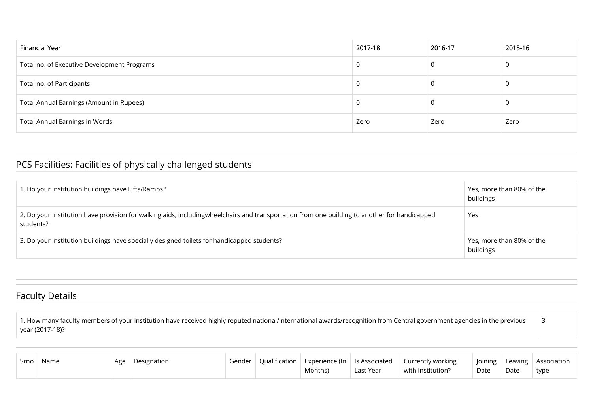| Financial Year                              | 2017-18 | 2016-17 | 2015-16 |
|---------------------------------------------|---------|---------|---------|
| Total no. of Executive Development Programs |         | 0       | 0       |
| Total no. of Participants                   |         |         | 0       |
| Total Annual Earnings (Amount in Rupees)    |         |         | 0       |
| <b>Total Annual Earnings in Words</b>       | Zero    | Zero    | Zero    |

## PCS Facilities: Facilities of physically challenged students

| 1. Do your institution buildings have Lifts/Ramps?                                                                                                        | Yes, more than 80% of the<br>buildings |
|-----------------------------------------------------------------------------------------------------------------------------------------------------------|----------------------------------------|
| 2. Do your institution have provision for walking aids, includingwheelchairs and transportation from one building to another for handicapped<br>students? | Yes                                    |
| 3. Do your institution buildings have specially designed toilets for handicapped students?                                                                | Yes, more than 80% of the<br>buildings |

## Faculty Details

1. How many faculty members of your institution have received highly reputed national/international awards/recognition from Central government agencies in the previous year (2017-18)? 3

| Srno   Name | ,Age : | Designation | Gender | $\Box$ Qualification $\Box$ Experience (In $\Box$ Is Associated<br>Months) | Last Year | Currently working<br>with institution? | Date | Date | Joining   Leaving   Association<br>type |
|-------------|--------|-------------|--------|----------------------------------------------------------------------------|-----------|----------------------------------------|------|------|-----------------------------------------|
|             |        |             |        |                                                                            |           |                                        |      |      |                                         |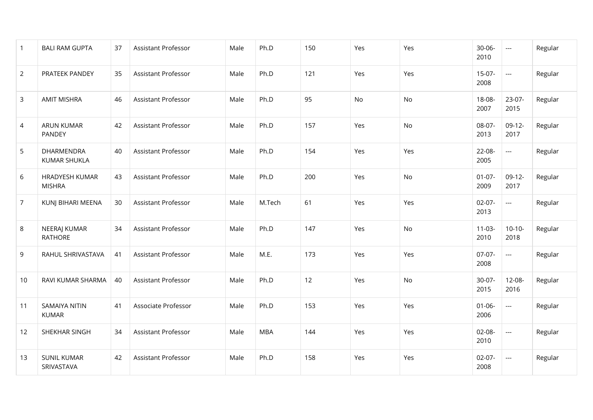| $\mathbf{1}$   | <b>BALI RAM GUPTA</b>                  | 37 | Assistant Professor | Male | Ph.D       | 150 | Yes | Yes | $30 - 06 -$<br>2010 | ---                      | Regular |
|----------------|----------------------------------------|----|---------------------|------|------------|-----|-----|-----|---------------------|--------------------------|---------|
| $\overline{2}$ | PRATEEK PANDEY                         | 35 | Assistant Professor | Male | Ph.D       | 121 | Yes | Yes | $15-07-$<br>2008    | $\cdots$                 | Regular |
| $\mathbf{3}$   | <b>AMIT MISHRA</b>                     | 46 | Assistant Professor | Male | Ph.D       | 95  | No  | No  | 18-08-<br>2007      | 23-07-<br>2015           | Regular |
| 4              | <b>ARUN KUMAR</b><br>PANDEY            | 42 | Assistant Professor | Male | Ph.D       | 157 | Yes | No. | 08-07-<br>2013      | $09-12-$<br>2017         | Regular |
| 5              | DHARMENDRA<br><b>KUMAR SHUKLA</b>      | 40 | Assistant Professor | Male | Ph.D       | 154 | Yes | Yes | 22-08-<br>2005      | $\overline{\phantom{a}}$ | Regular |
| 6              | <b>HRADYESH KUMAR</b><br><b>MISHRA</b> | 43 | Assistant Professor | Male | Ph.D       | 200 | Yes | No  | $01-07-$<br>2009    | $09-12-$<br>2017         | Regular |
| $\overline{7}$ | KUNJ BIHARI MEENA                      | 30 | Assistant Professor | Male | M.Tech     | 61  | Yes | Yes | $02-07-$<br>2013    | $\overline{\phantom{a}}$ | Regular |
| 8              | NEERAJ KUMAR<br><b>RATHORE</b>         | 34 | Assistant Professor | Male | Ph.D       | 147 | Yes | No  | $11-03-$<br>2010    | $10-10-$<br>2018         | Regular |
| 9              | RAHUL SHRIVASTAVA                      | 41 | Assistant Professor | Male | M.E.       | 173 | Yes | Yes | $07-07-$<br>2008    | $\overline{\phantom{a}}$ | Regular |
| 10             | RAVI KUMAR SHARMA                      | 40 | Assistant Professor | Male | Ph.D       | 12  | Yes | No  | 30-07-<br>2015      | 12-08-<br>2016           | Regular |
| 11             | <b>SAMAIYA NITIN</b><br><b>KUMAR</b>   | 41 | Associate Professor | Male | Ph.D       | 153 | Yes | Yes | $01 - 06 -$<br>2006 | $\scriptstyle\cdots$     | Regular |
| 12             | SHEKHAR SINGH                          | 34 | Assistant Professor | Male | <b>MBA</b> | 144 | Yes | Yes | $02 - 08 -$<br>2010 | ---                      | Regular |
| 13             | <b>SUNIL KUMAR</b><br>SRIVASTAVA       | 42 | Assistant Professor | Male | Ph.D       | 158 | Yes | Yes | $02-07-$<br>2008    | $\scriptstyle\cdots$     | Regular |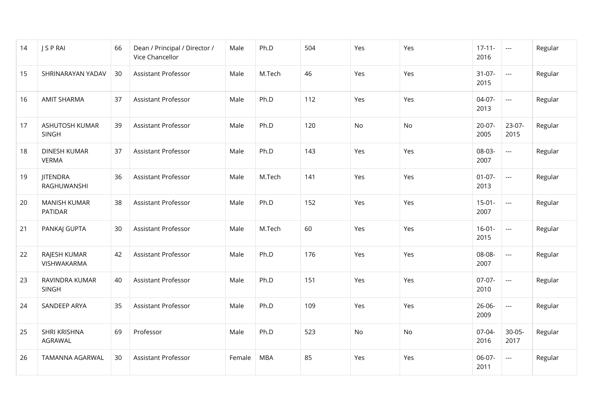| 14 | J S P RAI                             | 66 | Dean / Principal / Director /<br>Vice Chancellor | Male   | Ph.D       | 504 | Yes       | Yes | $17 - 11 -$<br>2016 | $\cdots$                 | Regular |
|----|---------------------------------------|----|--------------------------------------------------|--------|------------|-----|-----------|-----|---------------------|--------------------------|---------|
| 15 | SHRINARAYAN YADAV                     | 30 | Assistant Professor                              | Male   | M.Tech     | 46  | Yes       | Yes | $31-07-$<br>2015    | $\cdots$                 | Regular |
| 16 | <b>AMIT SHARMA</b>                    | 37 | <b>Assistant Professor</b>                       | Male   | Ph.D       | 112 | Yes       | Yes | $04-07-$<br>2013    | ---                      | Regular |
| 17 | <b>ASHUTOSH KUMAR</b><br><b>SINGH</b> | 39 | <b>Assistant Professor</b>                       | Male   | Ph.D       | 120 | <b>No</b> | No  | $20-07-$<br>2005    | 23-07-<br>2015           | Regular |
| 18 | <b>DINESH KUMAR</b><br><b>VERMA</b>   | 37 | <b>Assistant Professor</b>                       | Male   | Ph.D       | 143 | Yes       | Yes | 08-03-<br>2007      | $\overline{\phantom{a}}$ | Regular |
| 19 | <b>JITENDRA</b><br>RAGHUWANSHI        | 36 | <b>Assistant Professor</b>                       | Male   | M.Tech     | 141 | Yes       | Yes | $01-07-$<br>2013    | $\overline{\phantom{a}}$ | Regular |
| 20 | <b>MANISH KUMAR</b><br>PATIDAR        | 38 | <b>Assistant Professor</b>                       | Male   | Ph.D       | 152 | Yes       | Yes | $15-01-$<br>2007    | ---                      | Regular |
| 21 | PANKAJ GUPTA                          | 30 | Assistant Professor                              | Male   | M.Tech     | 60  | Yes       | Yes | $16-01-$<br>2015    | $\scriptstyle\cdots$     | Regular |
| 22 | RAJESH KUMAR<br>VISHWAKARMA           | 42 | Assistant Professor                              | Male   | Ph.D       | 176 | Yes       | Yes | 08-08-<br>2007      | $\overline{\phantom{a}}$ | Regular |
| 23 | RAVINDRA KUMAR<br><b>SINGH</b>        | 40 | Assistant Professor                              | Male   | Ph.D       | 151 | Yes       | Yes | $07-07-$<br>2010    | $\overline{\phantom{a}}$ | Regular |
| 24 | SANDEEP ARYA                          | 35 | Assistant Professor                              | Male   | Ph.D       | 109 | Yes       | Yes | $26 - 06 -$<br>2009 | $\hspace{0.05cm} \ldots$ | Regular |
| 25 | SHRI KRISHNA<br>AGRAWAL               | 69 | Professor                                        | Male   | Ph.D       | 523 | No        | No  | 07-04-<br>2016      | $30-05-$<br>2017         | Regular |
| 26 | TAMANNA AGARWAL                       | 30 | Assistant Professor                              | Female | <b>MBA</b> | 85  | Yes       | Yes | 06-07-<br>2011      | ---                      | Regular |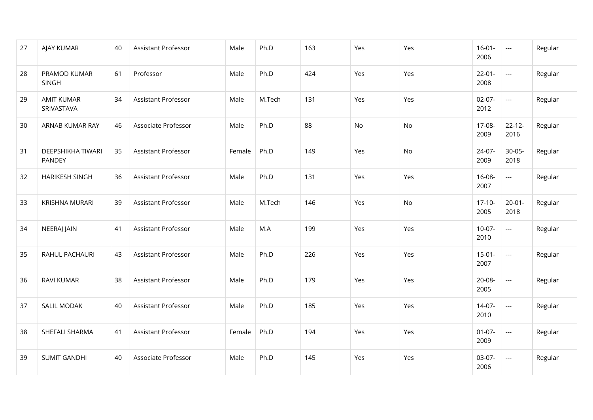| 27 | AJAY KUMAR                         | 40 | Assistant Professor | Male   | Ph.D   | 163 | Yes | Yes | $16-01-$<br>2006    | ---                      | Regular |
|----|------------------------------------|----|---------------------|--------|--------|-----|-----|-----|---------------------|--------------------------|---------|
| 28 | PRAMOD KUMAR<br><b>SINGH</b>       | 61 | Professor           | Male   | Ph.D   | 424 | Yes | Yes | $22 - 01 -$<br>2008 | $\cdots$                 | Regular |
| 29 | <b>AMIT KUMAR</b><br>SRIVASTAVA    | 34 | Assistant Professor | Male   | M.Tech | 131 | Yes | Yes | $02-07-$<br>2012    | $\hspace{0.05cm}\ldots$  | Regular |
| 30 | ARNAB KUMAR RAY                    | 46 | Associate Professor | Male   | Ph.D   | 88  | No  | No  | 17-08-<br>2009      | $22 - 12 -$<br>2016      | Regular |
| 31 | DEEPSHIKHA TIWARI<br><b>PANDEY</b> | 35 | Assistant Professor | Female | Ph.D   | 149 | Yes | No  | 24-07-<br>2009      | $30-05-$<br>2018         | Regular |
| 32 | <b>HARIKESH SINGH</b>              | 36 | Assistant Professor | Male   | Ph.D   | 131 | Yes | Yes | $16 - 08 -$<br>2007 | $\overline{\phantom{a}}$ | Regular |
| 33 | <b>KRISHNA MURARI</b>              | 39 | Assistant Professor | Male   | M.Tech | 146 | Yes | No  | $17-10-$<br>2005    | $20 - 01 -$<br>2018      | Regular |
| 34 | NEERAJ JAIN                        | 41 | Assistant Professor | Male   | M.A    | 199 | Yes | Yes | $10-07-$<br>2010    | $\hspace{0.05cm} \ldots$ | Regular |
| 35 | RAHUL PACHAURI                     | 43 | Assistant Professor | Male   | Ph.D   | 226 | Yes | Yes | $15-01-$<br>2007    | $\overline{\phantom{a}}$ | Regular |
| 36 | <b>RAVI KUMAR</b>                  | 38 | Assistant Professor | Male   | Ph.D   | 179 | Yes | Yes | 20-08-<br>2005      | $\overline{\phantom{a}}$ | Regular |
| 37 | <b>SALIL MODAK</b>                 | 40 | Assistant Professor | Male   | Ph.D   | 185 | Yes | Yes | $14-07-$<br>2010    | $\hspace{0.05cm} \ldots$ | Regular |
| 38 | SHEFALI SHARMA                     | 41 | Assistant Professor | Female | Ph.D   | 194 | Yes | Yes | $01-07-$<br>2009    | $\hspace{0.05cm} \ldots$ | Regular |
| 39 | <b>SUMIT GANDHI</b>                | 40 | Associate Professor | Male   | Ph.D   | 145 | Yes | Yes | 03-07-<br>2006      | ---                      | Regular |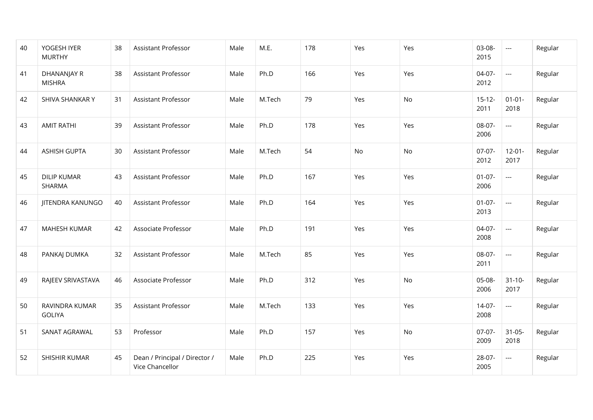| 40 | YOGESH IYER<br><b>MURTHY</b>        | 38 | Assistant Professor                              | Male | M.E.   | 178 | Yes | Yes | 03-08-<br>2015      | $\hspace{0.05cm}\ldots$  | Regular |
|----|-------------------------------------|----|--------------------------------------------------|------|--------|-----|-----|-----|---------------------|--------------------------|---------|
| 41 | <b>DHANANJAY R</b><br><b>MISHRA</b> | 38 | Assistant Professor                              | Male | Ph.D   | 166 | Yes | Yes | 04-07-<br>2012      | $\overline{\phantom{a}}$ | Regular |
| 42 | SHIVA SHANKAR Y                     | 31 | Assistant Professor                              | Male | M.Tech | 79  | Yes | No  | $15 - 12 -$<br>2011 | $01 - 01 -$<br>2018      | Regular |
| 43 | <b>AMIT RATHI</b>                   | 39 | Assistant Professor                              | Male | Ph.D   | 178 | Yes | Yes | 08-07-<br>2006      | $\overline{\phantom{a}}$ | Regular |
| 44 | <b>ASHISH GUPTA</b>                 | 30 | <b>Assistant Professor</b>                       | Male | M.Tech | 54  | No  | No  | $07-07-$<br>2012    | $12 - 01 -$<br>2017      | Regular |
| 45 | <b>DILIP KUMAR</b><br>SHARMA        | 43 | Assistant Professor                              | Male | Ph.D   | 167 | Yes | Yes | $01-07-$<br>2006    | $\overline{a}$           | Regular |
| 46 | <b>JITENDRA KANUNGO</b>             | 40 | Assistant Professor                              | Male | Ph.D   | 164 | Yes | Yes | $01-07-$<br>2013    | $\overline{a}$           | Regular |
| 47 | <b>MAHESH KUMAR</b>                 | 42 | Associate Professor                              | Male | Ph.D   | 191 | Yes | Yes | 04-07-<br>2008      | $\overline{\phantom{a}}$ | Regular |
| 48 | PANKAJ DUMKA                        | 32 | <b>Assistant Professor</b>                       | Male | M.Tech | 85  | Yes | Yes | 08-07-<br>2011      | $\overline{\phantom{a}}$ | Regular |
| 49 | RAJEEV SRIVASTAVA                   | 46 | Associate Professor                              | Male | Ph.D   | 312 | Yes | No  | 05-08-<br>2006      | $31 - 10 -$<br>2017      | Regular |
| 50 | RAVINDRA KUMAR<br><b>GOLIYA</b>     | 35 | <b>Assistant Professor</b>                       | Male | M.Tech | 133 | Yes | Yes | $14-07-$<br>2008    | $\cdots$                 | Regular |
| 51 | SANAT AGRAWAL                       | 53 | Professor                                        | Male | Ph.D   | 157 | Yes | No  | $07-07-$<br>2009    | $31 - 05 -$<br>2018      | Regular |
| 52 | SHISHIR KUMAR                       | 45 | Dean / Principal / Director /<br>Vice Chancellor | Male | Ph.D   | 225 | Yes | Yes | 28-07-<br>2005      | $\hspace{0.05cm} \ldots$ | Regular |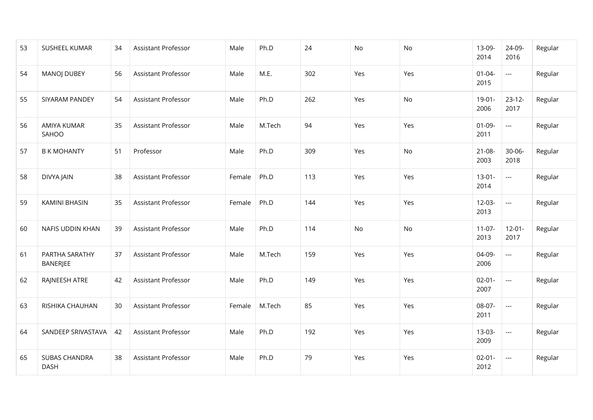| 53 | SUSHEEL KUMAR                       | 34 | <b>Assistant Professor</b> | Male   | Ph.D   | 24  | <b>No</b> | No  | 13-09-<br>2014      | 24-09-<br>2016           | Regular |
|----|-------------------------------------|----|----------------------------|--------|--------|-----|-----------|-----|---------------------|--------------------------|---------|
| 54 | <b>MANOJ DUBEY</b>                  | 56 | <b>Assistant Professor</b> | Male   | M.E.   | 302 | Yes       | Yes | $01 - 04 -$<br>2015 | $\overline{\phantom{a}}$ | Regular |
| 55 | SIYARAM PANDEY                      | 54 | <b>Assistant Professor</b> | Male   | Ph.D   | 262 | Yes       | No  | $19-01-$<br>2006    | $23 - 12 -$<br>2017      | Regular |
| 56 | <b>AMIYA KUMAR</b><br>SAHOO         | 35 | <b>Assistant Professor</b> | Male   | M.Tech | 94  | Yes       | Yes | $01 - 09 -$<br>2011 | $\overline{\phantom{a}}$ | Regular |
| 57 | <b>B K MOHANTY</b>                  | 51 | Professor                  | Male   | Ph.D   | 309 | Yes       | No  | $21 - 08 -$<br>2003 | $30 - 06 -$<br>2018      | Regular |
| 58 | DIVYA JAIN                          | 38 | <b>Assistant Professor</b> | Female | Ph.D   | 113 | Yes       | Yes | $13-01-$<br>2014    | $\overline{a}$           | Regular |
| 59 | KAMINI BHASIN                       | 35 | Assistant Professor        | Female | Ph.D   | 144 | Yes       | Yes | $12-03-$<br>2013    | ---                      | Regular |
| 60 | NAFIS UDDIN KHAN                    | 39 | <b>Assistant Professor</b> | Male   | Ph.D   | 114 | <b>No</b> | No  | $11-07-$<br>2013    | $12 - 01 -$<br>2017      | Regular |
| 61 | PARTHA SARATHY<br>BANERJEE          | 37 | <b>Assistant Professor</b> | Male   | M.Tech | 159 | Yes       | Yes | 04-09-<br>2006      | $\overline{a}$           | Regular |
| 62 | RAJNEESH ATRE                       | 42 | <b>Assistant Professor</b> | Male   | Ph.D   | 149 | Yes       | Yes | $02 - 01 -$<br>2007 | $\overline{a}$           | Regular |
| 63 | RISHIKA CHAUHAN                     | 30 | <b>Assistant Professor</b> | Female | M.Tech | 85  | Yes       | Yes | 08-07-<br>2011      | $\overline{a}$           | Regular |
| 64 | SANDEEP SRIVASTAVA                  | 42 | Assistant Professor        | Male   | Ph.D   | 192 | Yes       | Yes | $13-03-$<br>2009    | ---                      | Regular |
| 65 | <b>SUBAS CHANDRA</b><br><b>DASH</b> | 38 | <b>Assistant Professor</b> | Male   | Ph.D   | 79  | Yes       | Yes | $02 - 01 -$<br>2012 | $\overline{\phantom{a}}$ | Regular |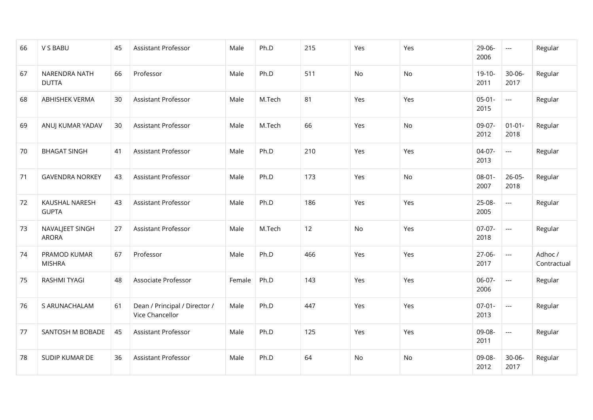| 66 | V S BABU                              | 45 | Assistant Professor                              | Male   | Ph.D   | 215 | Yes | Yes | 29-06-<br>2006      | $\hspace{0.05cm}\ldots$  | Regular                |
|----|---------------------------------------|----|--------------------------------------------------|--------|--------|-----|-----|-----|---------------------|--------------------------|------------------------|
| 67 | NARENDRA NATH<br><b>DUTTA</b>         | 66 | Professor                                        | Male   | Ph.D   | 511 | No  | No  | $19-10-$<br>2011    | 30-06-<br>2017           | Regular                |
| 68 | ABHISHEK VERMA                        | 30 | Assistant Professor                              | Male   | M.Tech | 81  | Yes | Yes | $05-01-$<br>2015    | $\overline{\phantom{a}}$ | Regular                |
| 69 | ANUJ KUMAR YADAV                      | 30 | <b>Assistant Professor</b>                       | Male   | M.Tech | 66  | Yes | No. | 09-07-<br>2012      | $01 - 01 -$<br>2018      | Regular                |
| 70 | <b>BHAGAT SINGH</b>                   | 41 | <b>Assistant Professor</b>                       | Male   | Ph.D   | 210 | Yes | Yes | $04-07-$<br>2013    | $\overline{\phantom{a}}$ | Regular                |
| 71 | <b>GAVENDRA NORKEY</b>                | 43 | Assistant Professor                              | Male   | Ph.D   | 173 | Yes | No  | $08 - 01 -$<br>2007 | $26 - 05 -$<br>2018      | Regular                |
| 72 | <b>KAUSHAL NARESH</b><br><b>GUPTA</b> | 43 | Assistant Professor                              | Male   | Ph.D   | 186 | Yes | Yes | 25-08-<br>2005      | $\overline{a}$           | Regular                |
| 73 | NAVALJEET SINGH<br><b>ARORA</b>       | 27 | <b>Assistant Professor</b>                       | Male   | M.Tech | 12  | No  | Yes | $07-07-$<br>2018    | $\overline{\phantom{a}}$ | Regular                |
| 74 | PRAMOD KUMAR<br><b>MISHRA</b>         | 67 | Professor                                        | Male   | Ph.D   | 466 | Yes | Yes | $27-06-$<br>2017    | $\overline{\phantom{a}}$ | Adhoc /<br>Contractual |
| 75 | <b>RASHMI TYAGI</b>                   | 48 | Associate Professor                              | Female | Ph.D   | 143 | Yes | Yes | 06-07-<br>2006      | $\overline{a}$           | Regular                |
| 76 | S ARUNACHALAM                         | 61 | Dean / Principal / Director /<br>Vice Chancellor | Male   | Ph.D   | 447 | Yes | Yes | $07 - 01 -$<br>2013 | $\overline{\phantom{a}}$ | Regular                |
| 77 | SANTOSH M BOBADE                      | 45 | Assistant Professor                              | Male   | Ph.D   | 125 | Yes | Yes | 09-08-<br>2011      | $\overline{\phantom{a}}$ | Regular                |
| 78 | SUDIP KUMAR DE                        | 36 | Assistant Professor                              | Male   | Ph.D   | 64  | No  | No  | 09-08-<br>2012      | 30-06-<br>2017           | Regular                |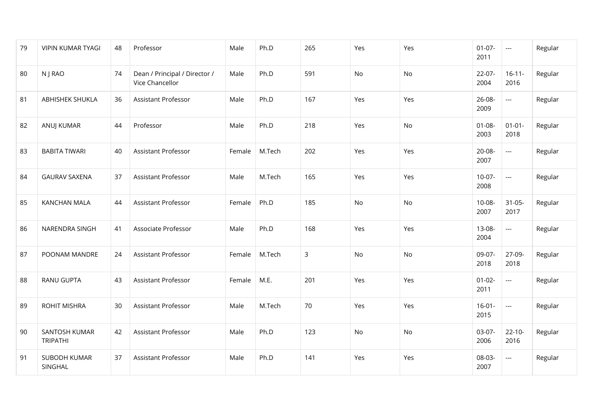| 79 | <b>VIPIN KUMAR TYAGI</b>         | 48 | Professor                                        | Male   | Ph.D   | 265 | Yes       | Yes | $01-07-$<br>2011    | ---                      | Regular |
|----|----------------------------------|----|--------------------------------------------------|--------|--------|-----|-----------|-----|---------------------|--------------------------|---------|
| 80 | N J RAO                          | 74 | Dean / Principal / Director /<br>Vice Chancellor | Male   | Ph.D   | 591 | <b>No</b> | No  | $22-07-$<br>2004    | $16 - 11 -$<br>2016      | Regular |
| 81 | <b>ABHISHEK SHUKLA</b>           | 36 | <b>Assistant Professor</b>                       | Male   | Ph.D   | 167 | Yes       | Yes | 26-08-<br>2009      | ---                      | Regular |
| 82 | ANUJ KUMAR                       | 44 | Professor                                        | Male   | Ph.D   | 218 | Yes       | No  | $01 - 08 -$<br>2003 | $01 - 01 -$<br>2018      | Regular |
| 83 | <b>BABITA TIWARI</b>             | 40 | Assistant Professor                              | Female | M.Tech | 202 | Yes       | Yes | 20-08-<br>2007      | $\overline{a}$           | Regular |
| 84 | <b>GAURAV SAXENA</b>             | 37 | Assistant Professor                              | Male   | M.Tech | 165 | Yes       | Yes | $10-07-$<br>2008    | $\overline{a}$           | Regular |
| 85 | <b>KANCHAN MALA</b>              | 44 | Assistant Professor                              | Female | Ph.D   | 185 | No        | No  | $10 - 08 -$<br>2007 | $31 - 05 -$<br>2017      | Regular |
| 86 | NARENDRA SINGH                   | 41 | Associate Professor                              | Male   | Ph.D   | 168 | Yes       | Yes | 13-08-<br>2004      | ---                      | Regular |
| 87 | POONAM MANDRE                    | 24 | <b>Assistant Professor</b>                       | Female | M.Tech | 3   | <b>No</b> | No  | 09-07-<br>2018      | 27-09-<br>2018           | Regular |
| 88 | <b>RANU GUPTA</b>                | 43 | <b>Assistant Professor</b>                       | Female | M.E.   | 201 | Yes       | Yes | $01 - 02 -$<br>2011 | $\overline{\phantom{a}}$ | Regular |
| 89 | ROHIT MISHRA                     | 30 | <b>Assistant Professor</b>                       | Male   | M.Tech | 70  | Yes       | Yes | $16-01-$<br>2015    | $\overline{\phantom{a}}$ | Regular |
| 90 | SANTOSH KUMAR<br><b>TRIPATHI</b> | 42 | Assistant Professor                              | Male   | Ph.D   | 123 | No        | No  | $03-07-$<br>2006    | $22 - 10 -$<br>2016      | Regular |
| 91 | SUBODH KUMAR<br>SINGHAL          | 37 | Assistant Professor                              | Male   | Ph.D   | 141 | Yes       | Yes | 08-03-<br>2007      | ---                      | Regular |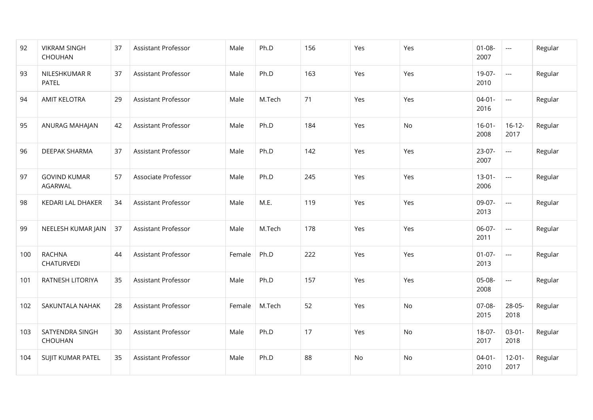| 92  | <b>VIKRAM SINGH</b><br>CHOUHAN        | 37 | Assistant Professor | Male   | Ph.D   | 156 | Yes | Yes | $01 - 08 -$<br>2007 | $\scriptstyle \cdots$    | Regular |
|-----|---------------------------------------|----|---------------------|--------|--------|-----|-----|-----|---------------------|--------------------------|---------|
| 93  | NILESHKUMAR R<br><b>PATEL</b>         | 37 | Assistant Professor | Male   | Ph.D   | 163 | Yes | Yes | 19-07-<br>2010      | $\scriptstyle\cdots$     | Regular |
| 94  | <b>AMIT KELOTRA</b>                   | 29 | Assistant Professor | Male   | M.Tech | 71  | Yes | Yes | $04 - 01 -$<br>2016 | $\hspace{0.05cm}\ldots$  | Regular |
| 95  | ANURAG MAHAJAN                        | 42 | Assistant Professor | Male   | Ph.D   | 184 | Yes | No  | $16-01-$<br>2008    | $16-12-$<br>2017         | Regular |
| 96  | <b>DEEPAK SHARMA</b>                  | 37 | Assistant Professor | Male   | Ph.D   | 142 | Yes | Yes | $23-07-$<br>2007    | $\overline{\phantom{a}}$ | Regular |
| 97  | <b>GOVIND KUMAR</b><br><b>AGARWAL</b> | 57 | Associate Professor | Male   | Ph.D   | 245 | Yes | Yes | $13 - 01 -$<br>2006 | $\scriptstyle\cdots$     | Regular |
| 98  | KEDARI LAL DHAKER                     | 34 | Assistant Professor | Male   | M.E.   | 119 | Yes | Yes | 09-07-<br>2013      | $\hspace{0.05cm}\ldots$  | Regular |
| 99  | NEELESH KUMAR JAIN                    | 37 | Assistant Professor | Male   | M.Tech | 178 | Yes | Yes | 06-07-<br>2011      | $\scriptstyle\cdots$     | Regular |
| 100 | <b>RACHNA</b><br>CHATURVEDI           | 44 | Assistant Professor | Female | Ph.D   | 222 | Yes | Yes | $01 - 07 -$<br>2013 | $\scriptstyle\cdots$     | Regular |
| 101 | RATNESH LITORIYA                      | 35 | Assistant Professor | Male   | Ph.D   | 157 | Yes | Yes | 05-08-<br>2008      | $\hspace{0.05cm} \ldots$ | Regular |
| 102 | SAKUNTALA NAHAK                       | 28 | Assistant Professor | Female | M.Tech | 52  | Yes | No  | 07-08-<br>2015      | 28-05-<br>2018           | Regular |
| 103 | SATYENDRA SINGH<br>CHOUHAN            | 30 | Assistant Professor | Male   | Ph.D   | 17  | Yes | No  | 18-07-<br>2017      | $03-01-$<br>2018         | Regular |
| 104 | SUJIT KUMAR PATEL                     | 35 | Assistant Professor | Male   | Ph.D   | 88  | No  | No  | $04 - 01 -$<br>2010 | $12 - 01 -$<br>2017      | Regular |